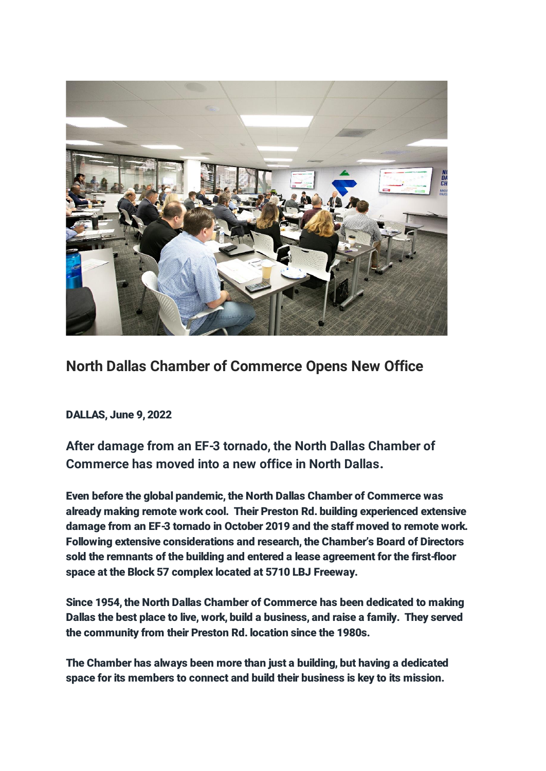

## North Dallas Chamber of Commerce Opens New Office

DALLAS, June 9, 2022

After damage from an EF-3 tornado, the North Dallas Chamber of Commerce has moved into a new office in North Dallas.

Even before the global pandemic, the North Dallas Chamber of Commerce was already making remote work cool. Their Preston Rd. building experienced extensive damage from an EF-3 tornado in October 2019 and the staff moved to remote work. Following extensive considerations and research, the Chamber's Board of Directors sold the remnants of the building and entered a lease agreement for the first-floor space at the Block 57 complex located at 5710 LBJ Freeway.

Since 1954, the North Dallas Chamber of Commerce has been dedicated to making Dallas the best place to live, work, build a business, and raise a family. They served the community from their Preston Rd. location since the 1980s.

The Chamber has always been more than just a building, but having a dedicated space for its members to connect and build their business is key to its mission.